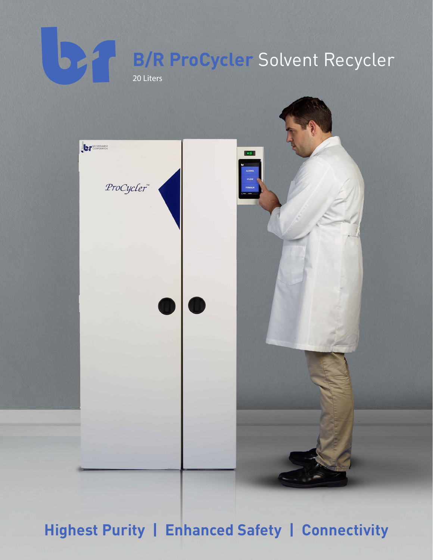# $\overline{\mathbf{b}}$ **B/R ProCycler** Solvent Recycler 20 Liters



**Highest Purity | Enhanced Safety | Connectivity**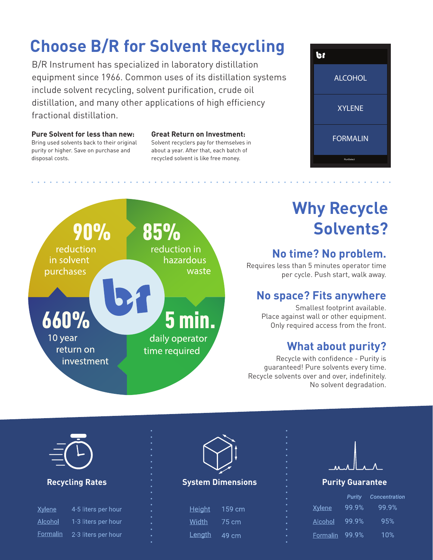# **Choose B/R for Solvent Recycling**

B/R Instrument has specialized in laboratory distillation equipment since 1966. Common uses of its distillation systems include solvent recycling, solvent purification, crude oil distillation, and many other applications of high efficiency fractional distillation.

#### **Pure Solvent for less than new:**

Bring used solvents back to their original purity or higher. Save on purchase and disposal costs.

#### **Great Return on Investment:**

Solvent recyclers pay for themselves in about a year. After that, each batch of recycled solvent is like free money.

**•••••••••••••••••••••••••••••••••••••••••••••••••••••••••••**





**•••••••••••••••••••**

# **Why Recycle Solvents?**

### **No time? No problem.**

Requires less than 5 minutes operator time per cycle. Push start, walk away.

#### **No space? Fits anywhere**

Smallest footprint available. Place against wall or other equipment. Only required access from the front.

#### **What about purity?**

Recycle with confidence - Purity is guaranteed! Pure solvents every time. Recycle solvents over and over, indefinitely. No solvent degradation.

**•••••••••••••••••••**



| <b>Xylene</b> | 4-5 liters per hour |
|---------------|---------------------|
| Alcohol       | 1-3 liters per hour |
| Formalin      | 2-3 liters per hour |



#### **Recycling Rates System Dimensions Purity Guarantee**

| <u>Height</u> | 159 cm |
|---------------|--------|
| Width.        | 75 cm  |
| Lenath        | 49 cm  |



|               | Purity | Concentration |
|---------------|--------|---------------|
| <u>Xylene</u> | 99.9%  | 99.9%         |
| Alcohol       | 99 9%  | 95%           |
| Formalin      | 99.9%  | 1በ%           |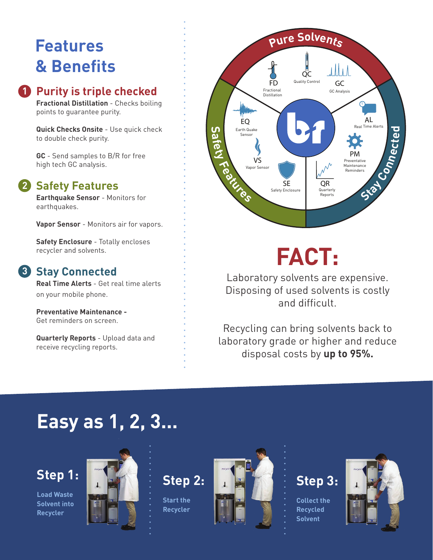# **Features & Benefits**

### **1** Purity is triple checked

**Fractional Distillation** - Checks boiling points to guarantee purity.

**Quick Checks Onsite** - Use quick check to double check purity.

**GC** - Send samples to B/R for free high tech GC analysis.

### 2 Safety Features

**Earthquake Sensor** - Monitors for earthquakes.

**Vapor Sensor** - Monitors air for vapors.

**Safety Enclosure** - Totally encloses recycler and solvents.

### **Stay Connected 3**

**Real Time Alerts** - Get real time alerts on your mobile phone.

**Preventative Maintenance -**  Get reminders on screen.

**Quarterly Reports** - Upload data and receive recycling reports.

#### **<sup>P</sup>ur<sup>e</sup> <sup>S</sup>olvent<sup>s</sup>** i II i A QC FD Quality Control **GC** Fractional GC Analysis Distillation AL EQ Real Time Alerts Earth Quake  $\mathsf{S}$ **d e a**<br>**afety Fe**<sup>c</sup><sub>**a**</sub>**t**<sub>**</del><sub><b>e**</sub><sup>e</sup><sub>**d**</sub></sub> Sensor **ct** PM VS Preventative Maintenance Vapor Sensor Reminders **Stay Conne** SE QR Safety Enclosure Quarterly Reports

# **FACT:**

Laboratory solvents are expensive. Disposing of used solvents is costly and difficult.

Recycling can bring solvents back to laboratory grade or higher and reduce disposal costs by **up to 95%.**

# **Easy as 1, 2, 3...**

# **Step 1:**

**Load Waste Solvent into Recycler**



**Step 2:**

**•••••••••••••••••••••••••••••••••••••••••••••••••••••••••**

**Start the Recycler**

**••••••••••••••••**



# **Step 3:**

**Collect the Recycled Solvent**

**••••••••••••••••**